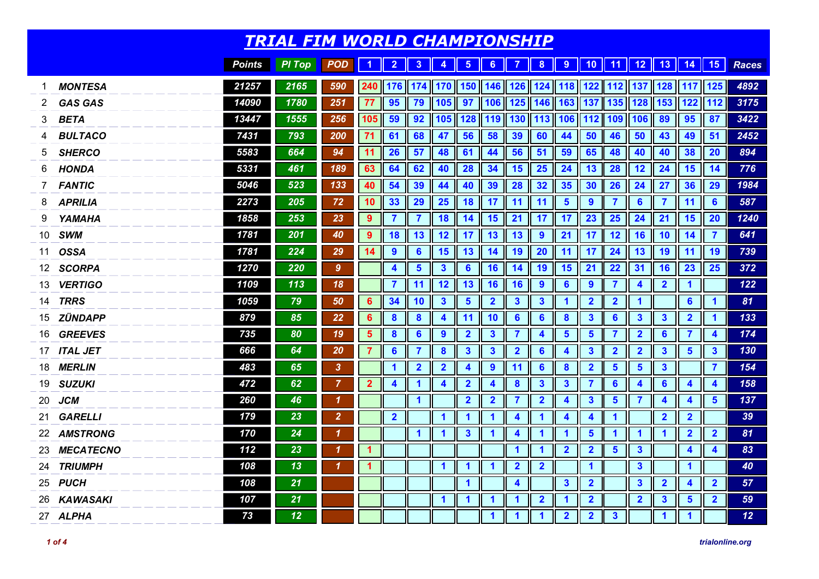|     |                  |               | <b>TRIAL FIM WORLD CHAMPIONSHIP</b> |                            |                      |                      |                      |                                                                                                       |                         |                         |                         |                                                             |                         |                         |                         |                      |                         |                         |                         |                 |
|-----|------------------|---------------|-------------------------------------|----------------------------|----------------------|----------------------|----------------------|-------------------------------------------------------------------------------------------------------|-------------------------|-------------------------|-------------------------|-------------------------------------------------------------|-------------------------|-------------------------|-------------------------|----------------------|-------------------------|-------------------------|-------------------------|-----------------|
|     |                  | <b>Points</b> | <b>PI Top</b>                       | <b>POD</b>                 | $\blacktriangleleft$ | $\overline{2}$       | $\mathbf{3}$         | $\bullet$                                                                                             | $\sqrt{5}$              | 6 <sup>1</sup>          | $\overline{7}$          | 8                                                           |                         |                         |                         |                      |                         |                         |                         | Races           |
| 1   | <b>MONTESA</b>   | 21257         | 2165                                | 590                        |                      |                      |                      | 240    176    174    170    150    146    126    124    118    122    112    137    128    117    125 |                         |                         |                         |                                                             |                         |                         |                         |                      |                         |                         |                         | 4892            |
| 2   | <b>GAS GAS</b>   | 14090         | 1780                                | 251                        | 77                   | 95                   | 79                   | 105 97                                                                                                |                         |                         |                         | $\ $ 106 $\ $ 125 $\ $ 146 $\ $ 163                         |                         | $\blacksquare$ 137      |                         | 135 128              | 153                     | 122 112                 |                         | 3175            |
| 3   | <b>BETA</b>      | 13447         | 1555                                | 256                        | 105 59               |                      | 92                   |                                                                                                       |                         |                         |                         | 105    128    119    130    113    106    112    109    106 |                         |                         |                         |                      | 89                      | 95                      | 87                      | 3422            |
| 4   | <b>BULTACO</b>   | 7431          | 793                                 | 200                        | 71                   | 61                   | 68                   | 47                                                                                                    | 56                      | 58                      | 39                      | 60                                                          | 44                      | 50                      | 46                      | 50                   | 43                      | 49                      | 51                      | 2452            |
| 5   | <b>SHERCO</b>    | 5583          | 664                                 | 94                         | 11                   | 26                   | 57                   | 48                                                                                                    | 61                      | 44                      | 56                      | 51                                                          | 59                      | 65                      | 48                      | 40                   | 40                      | 38                      | <b>20</b>               | 894             |
| 6   | <b>HONDA</b>     | 5331          | 461                                 | 189                        | 63                   | 64                   | 62                   | 40                                                                                                    | <b>28</b>               | 34                      | 15                      | <b>25</b>                                                   | 24                      | 13                      | 28                      | 12                   | 24                      | <b>15</b>               | 14                      | 776             |
| 7   | <b>FANTIC</b>    | 5046          | 523                                 | 133                        | 40                   | 54                   | 39                   | 44                                                                                                    | 40                      | 39                      | 28                      | 32                                                          | 35                      | 30                      | 26                      | 24                   | 27                      | 36                      | 29                      | 1984            |
| 8   | <b>APRILIA</b>   | 2273          | 205                                 | 72                         | 10                   | 33                   | 29                   | 25                                                                                                    | <b>18</b>               | 17                      | 11                      | $\parallel$ 11                                              | $5\phantom{1}$          | $\overline{9}$          | $\overline{7}$          | $6\phantom{1}$       | $\overline{\mathbf{7}}$ | 11                      | 6                       | 587             |
| 9   | YAMAHA           | 1858          | 253                                 | 23                         | 9                    | $\overline{7}$       | $\overline{7}$       | 18                                                                                                    | 14                      | 15                      | 21                      | 17                                                          | 17                      | 23                      | 25                      | 24                   | 21                      | 15                      | 20                      | 1240            |
| 10  | <b>SWM</b>       | 1781          | 201                                 | 40                         | 9                    | 18                   | 13                   | 12                                                                                                    | 17                      | 13                      | 13                      | $\boldsymbol{9}$                                            | 21                      | 17                      | 12                      | <b>16</b>            | 10                      | 14                      | 7                       | 641             |
| 11  | <b>OSSA</b>      | 1781          | 224                                 | 29                         | 14                   | $\boldsymbol{9}$     | $6\phantom{1}6$      | 15                                                                                                    | 13                      | 14                      | 19                      | <b>20</b>                                                   | 11                      | 17                      | 24                      | 13                   | 19                      | 11                      | 19                      | 739             |
| 12. | <b>SCORPA</b>    | 1270          | 220                                 | $\boldsymbol{9}$           |                      | $\blacktriangleleft$ | $5\phantom{1}$       | 3 <sup>5</sup>                                                                                        | $6\phantom{1}6$         | 16                      | 14                      | 19                                                          | 15                      | 21                      | 22                      | 31                   | <b>16</b>               | 23                      | 25                      | 372             |
| 13  | <b>VERTIGO</b>   | 1109          | 113                                 | 18                         |                      | 7                    | 11                   | 12                                                                                                    | 13                      | 16                      | 16                      | $\boldsymbol{9}$                                            | $6\phantom{1}6$         | $\boldsymbol{9}$        | $\overline{7}$          | 4                    | $\overline{2}$          | $\blacktriangleleft$    |                         | 122             |
| 14  | <b>TRRS</b>      | 1059          | 79                                  | 50                         | 6                    | 34                   | 10                   | $\mathbf{3}$                                                                                          | $5\phantom{1}$          | $\overline{2}$          | $\mathbf{3}$            | $\mathbf{3}$                                                | 1                       | $\overline{\mathbf{2}}$ | $\overline{\mathbf{2}}$ | $\blacktriangleleft$ |                         | $6\phantom{1}$          | 1                       | 81              |
| 15  | ZÜNDAPP          | 879           | 85                                  | 22                         | $6\phantom{1}6$      | $\boldsymbol{8}$     | $\boldsymbol{8}$     | 4                                                                                                     | 11                      | 10                      | $6\phantom{1}6$         | $6\phantom{1}6$                                             | $\boldsymbol{8}$        | $\mathbf{3}$            | $6\phantom{1}$          | $\mathbf{3}$         | $\mathbf{3}$            | $\overline{\mathbf{2}}$ | $\blacktriangleleft$    | 133             |
| 16  | <b>GREEVES</b>   | 735           | 80                                  | 19                         | $\sqrt{5}$           | $\boldsymbol{8}$     | $6\phantom{1}6$      | $\boldsymbol{9}$                                                                                      | $\overline{2}$          | $\mathbf{3}$            | $\overline{\mathbf{7}}$ | 4                                                           | 5                       | $5\phantom{1}$          | $\overline{\mathbf{7}}$ | $\overline{2}$       | $6\phantom{1}6$         | $\overline{\mathbf{7}}$ | $\boldsymbol{4}$        | 174             |
| 17  | <b>ITAL JET</b>  | 666           | 64                                  | 20                         | $\overline{7}$       | $6\phantom{1}$       | $\overline{7}$       | $\boldsymbol{8}$                                                                                      | $\mathbf{3}$            | $\overline{\mathbf{3}}$ | $\overline{\mathbf{2}}$ | $6\phantom{1}6$                                             | $\overline{\mathbf{4}}$ | $\mathbf{3}$            | $\overline{\mathbf{2}}$ | $\overline{2}$       | $\mathbf{3}$            | $5\phantom{1}$          | $\mathbf{3}$            | 130             |
| 18  | <b>MERLIN</b>    | 483           | 65                                  | $\mathbf{3}$               |                      | $\mathbf{1}$         | $\mathbf{2}$         | $\overline{2}$                                                                                        | $\boldsymbol{4}$        | $\boldsymbol{9}$        | 11                      | $6\phantom{1}6$                                             | $\bf{8}$                | $\overline{\mathbf{2}}$ | $5\phantom{1}$          | $5\phantom{1}$       | $\mathbf{3}$            |                         | $\overline{7}$          | 154             |
| 19  | <b>SUZUKI</b>    | 472           | 62                                  | $\overline{7}$             | $\overline{2}$       | 4                    | 1                    | 4                                                                                                     | $\overline{2}$          | $\overline{\mathbf{4}}$ | $\boldsymbol{8}$        | $\mathbf{3}$                                                | $\mathbf{3}$            | $\overline{7}$          | $6\phantom{1}6$         | 4                    | $6\phantom{1}6$         | $\blacktriangle$        | $\boldsymbol{4}$        | 158             |
| 20  | <b>JCM</b>       | 260           | 46                                  | $\boldsymbol{\mathcal{L}}$ |                      |                      | $\blacktriangleleft$ |                                                                                                       | $\overline{\mathbf{2}}$ | $\overline{2}$          | $\overline{\mathbf{7}}$ | $\overline{\mathbf{2}}$                                     | $\boldsymbol{4}$        | $\mathbf{3}$            | $5\phantom{1}$          | $\overline{7}$       | 4                       | 4                       | 5                       | 137             |
| 21  | <b>GARELLI</b>   | 179           | 23                                  | $\overline{2}$             |                      | $\overline{2}$       |                      | $\blacktriangleleft$                                                                                  | $\blacktriangleleft$    | $\blacktriangleleft$    | $\blacktriangleleft$    | $\blacktriangleleft$                                        | $\overline{\mathbf{4}}$ | $\blacktriangleleft$    | $\mathbf{1}$            |                      | $\overline{2}$          | $\overline{\mathbf{2}}$ |                         | 39              |
|     | 22 AMSTRONG      | 170           | 24                                  | $\boldsymbol{\mathcal{L}}$ |                      |                      | $\blacktriangleleft$ | $\blacktriangleleft$                                                                                  | $\overline{\mathbf{3}}$ | $\blacktriangleleft$    | $\overline{\mathbf{4}}$ | $\blacktriangleleft$                                        | $\blacktriangleleft$    | $5\phantom{1}$          | $\mathbf 1$             | 1                    | $\blacktriangleleft$    | $\overline{2}$          | $\mathbf{2}$            | 81              |
| 23  | <b>MECATECNO</b> | 112           | 23                                  | $\boldsymbol{\mathcal{L}}$ | $\blacktriangleleft$ |                      |                      |                                                                                                       |                         |                         | $\overline{\mathbf{1}}$ | $\blacktriangleleft$                                        | $\overline{2}$          | $\overline{\mathbf{2}}$ | $5\phantom{a}$          | $\mathbf{3}$         |                         | $\blacktriangle$        | $\blacktriangle$        | 83              |
| 24  | <b>TRIUMPH</b>   | 108           | 13                                  | 1                          | $\overline{1}$       |                      |                      | $\mathbf{1}$                                                                                          | $\blacktriangleleft$    | $\blacktriangleleft$    | $\overline{2}$          | $\overline{\mathbf{2}}$                                     |                         | $\mathbf{1}$            |                         | $\mathbf{3}$         |                         | $\blacktriangleleft$    |                         | 40              |
| 25  | <i>PUCH</i>      | 108           | 21                                  |                            |                      |                      |                      |                                                                                                       | $\overline{\mathbf{1}}$ |                         | $\overline{\mathbf{4}}$ |                                                             | $\overline{\mathbf{3}}$ | $\overline{\mathbf{2}}$ |                         | $\mathbf{3}$         | $\overline{2}$          | $\overline{\mathbf{4}}$ | $\overline{\mathbf{2}}$ | 57              |
|     | 26 KAWASAKI      | 107           | 21                                  |                            |                      |                      |                      | $\blacktriangleleft$                                                                                  | $\blacktriangleleft$    | $\blacktriangleleft$    | 1                       | $\overline{\mathbf{2}}$                                     | 1                       | $\overline{2}$          |                         | $\overline{2}$       | $\mathbf{3}$            | $\overline{\mathbf{5}}$ | $\overline{\mathbf{2}}$ | 59              |
|     | 27 ALPHA         | 73            | 12                                  |                            |                      |                      |                      |                                                                                                       |                         | $\overline{\mathbf{1}}$ | $\blacktriangleleft$    | $\blacktriangleleft$                                        | $\overline{\mathbf{2}}$ | $\overline{\mathbf{2}}$ | $\mathbf{3}$            |                      | $\blacktriangleleft$    | $\mathbf{1}$            |                         | 12 <sup>2</sup> |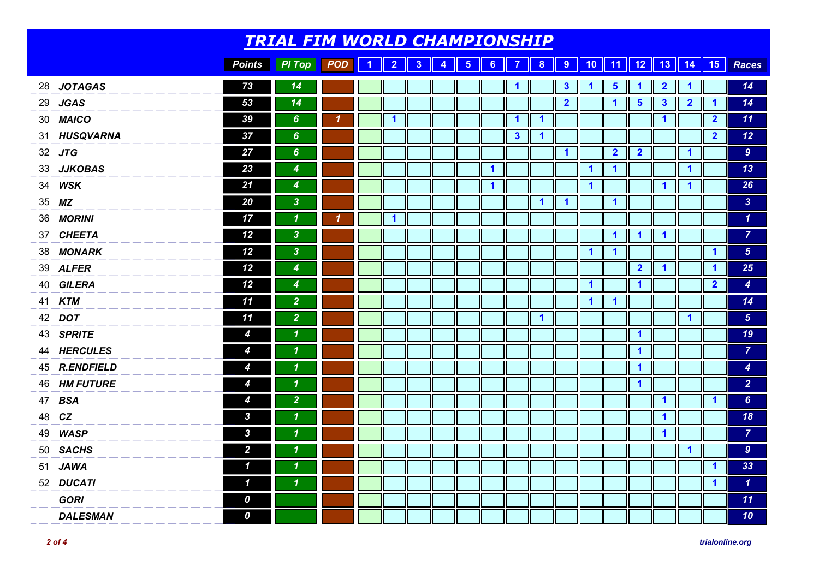|    |                  |                     | <u>TRIAL FIM WORLD CHAMPIONSHIP</u> |                            |           |                      |                |                      |               |                         |                         |                         |                         |                         |                         |                         |                         |                         |                         |                  |
|----|------------------|---------------------|-------------------------------------|----------------------------|-----------|----------------------|----------------|----------------------|---------------|-------------------------|-------------------------|-------------------------|-------------------------|-------------------------|-------------------------|-------------------------|-------------------------|-------------------------|-------------------------|------------------|
|    |                  | <b>Points</b>       | <b>PI Top</b>                       | POD                        | $\vert$ 1 | $\overline{2}$       | 3 <sup>°</sup> | $\blacktriangleleft$ | $5 \parallel$ | 6                       | $\overline{7}$          |                         |                         |                         |                         |                         |                         | 8 9 10 11 12 13 14 15   |                         | Races            |
|    | 28 JOTAGAS       | 73                  | 14                                  |                            |           |                      |                |                      |               |                         | $\blacktriangleleft$    |                         | $\mathbf{3}$            | $\mathbf 1$             | $\overline{\mathbf{5}}$ | $\mathbf 1$             | $\overline{\mathbf{2}}$ | 1                       |                         | 14               |
|    | 29 JGAS          | 53                  | 14                                  |                            |           |                      |                |                      |               |                         |                         |                         | $\overline{\mathbf{2}}$ |                         | $\mathbf{1}$            | $5\phantom{1}$          | $\mathbf{3}$            | $\overline{2}$          | $\mathbf 1$             | 14               |
|    | 30 MAICO         | 39                  | 6 <sup>°</sup>                      | $\overline{\mathbf{1}}$    |           | $\blacktriangleleft$ |                |                      |               |                         | $\overline{\mathbf{1}}$ | $\blacktriangleleft$    |                         |                         |                         |                         | $\blacktriangleleft$    |                         | $\overline{\mathbf{2}}$ | 11               |
|    | 31 HUSQVARNA     | 37                  | $6\phantom{a}$                      |                            |           |                      |                |                      |               |                         | $\mathbf{3}$            | $\blacktriangleleft$    |                         |                         |                         |                         |                         |                         | $\overline{\mathbf{2}}$ | 12               |
|    | 32 JTG           | 27                  | $6\phantom{a}$                      |                            |           |                      |                |                      |               |                         |                         |                         | $\blacktriangleleft$    |                         | $\overline{\mathbf{2}}$ | $\overline{\mathbf{2}}$ |                         | $\blacktriangleleft$    |                         | 9 <sup>°</sup>   |
|    | 33 JJKOBAS       | 23                  | $\boldsymbol{4}$                    |                            |           |                      |                |                      |               | $\blacktriangleleft$    |                         |                         |                         | $\blacktriangleleft$    | $\blacktriangleleft$    |                         |                         | $\blacktriangleleft$    |                         | 13               |
| 34 | <b>WSK</b>       | 21                  | 4                                   |                            |           |                      |                |                      |               | $\overline{\mathbf{1}}$ |                         |                         |                         | $\blacktriangleleft$    |                         |                         | $\blacktriangleleft$    | $\overline{\mathbf{1}}$ |                         | 26               |
|    | 35 MZ            | 20                  | $\overline{\mathbf{3}}$             |                            |           |                      |                |                      |               |                         |                         | $\overline{\mathbf{1}}$ | $\overline{\mathbf{1}}$ |                         | $\blacktriangleleft$    |                         |                         |                         |                         | 3 <sup>°</sup>   |
| 36 | <b>MORINI</b>    | 17                  | $\boldsymbol{\mathcal{L}}$          | $\boldsymbol{\mathcal{L}}$ |           | $\mathbf{1}$         |                |                      |               |                         |                         |                         |                         |                         |                         |                         |                         |                         |                         | $\mathbf{1}$     |
|    | 37 CHEETA        | 12                  | $\mathbf{3}$                        |                            |           |                      |                |                      |               |                         |                         |                         |                         |                         | $\blacktriangleleft$    | $\blacktriangleleft$    | $\overline{\mathbf{1}}$ |                         |                         | $\overline{7}$   |
| 38 | <b>MONARK</b>    | 12                  | $\mathbf{3}$                        |                            |           |                      |                |                      |               |                         |                         |                         |                         | $\blacktriangleleft$    | $\overline{\mathbf{1}}$ |                         |                         |                         | $\mathbf{1}$            | $5\phantom{.0}$  |
|    | 39 ALFER         | 12                  | $\overline{\mathcal{A}}$            |                            |           |                      |                |                      |               |                         |                         |                         |                         |                         |                         | $\overline{\mathbf{2}}$ | $\overline{\mathbf{1}}$ |                         | $\blacktriangleleft$    | 25               |
|    | 40 GILERA        | 12                  | $\boldsymbol{4}$                    |                            |           |                      |                |                      |               |                         |                         |                         |                         | $\blacktriangleleft$    |                         | $\blacktriangleleft$    |                         |                         | $\overline{2}$          | $\overline{4}$   |
|    | 41 KTM           | 11                  | $\overline{2}$                      |                            |           |                      |                |                      |               |                         |                         |                         |                         | $\overline{\mathbf{1}}$ | $\blacktriangleleft$    |                         |                         |                         |                         | 14               |
|    | 42 DOT           | 11                  | $\overline{2}$                      |                            |           |                      |                |                      |               |                         |                         | $\overline{\mathbf{1}}$ |                         |                         |                         |                         |                         | $\blacktriangleleft$    |                         | 5 <sup>5</sup>   |
|    | 43 SPRITE        | 4                   | $\boldsymbol{\mathcal{L}}$          |                            |           |                      |                |                      |               |                         |                         |                         |                         |                         |                         | $\blacktriangleleft$    |                         |                         |                         | 19               |
|    | 44 HERCULES      | 4                   | $\boldsymbol{\mathcal{L}}$          |                            |           |                      |                |                      |               |                         |                         |                         |                         |                         |                         | $\blacktriangleleft$    |                         |                         |                         | $\overline{7}$   |
|    | 45 R.ENDFIELD    | 4                   | $\boldsymbol{\mathcal{L}}$          |                            |           |                      |                |                      |               |                         |                         |                         |                         |                         |                         | $\overline{\mathbf{1}}$ |                         |                         |                         | $\boldsymbol{4}$ |
| 46 | <b>HM FUTURE</b> | 4                   | $\boldsymbol{\mathcal{L}}$          |                            |           |                      |                |                      |               |                         |                         |                         |                         |                         |                         | $\blacktriangleleft$    |                         |                         |                         | 2 <sup>1</sup>   |
|    | 47 BSA           | 4                   | $\overline{2}$                      |                            |           |                      |                |                      |               |                         |                         |                         |                         |                         |                         |                         | $\blacktriangleleft$    |                         | $\mathbf{1}$            | $6\phantom{a}$   |
|    | 48 CZ            | $\boldsymbol{3}$    | $\boldsymbol{\mathcal{L}}$          |                            |           |                      |                |                      |               |                         |                         |                         |                         |                         |                         |                         | $\blacktriangleleft$    |                         |                         | 18               |
| 49 | <b>WASP</b>      | $\mathbf{3}$        | $\boldsymbol{\mathcal{L}}$          |                            |           |                      |                |                      |               |                         |                         |                         |                         |                         |                         |                         | $\overline{\mathbf{1}}$ |                         |                         | $\overline{7}$   |
| 50 | <b>SACHS</b>     | $\mathbf{2}$        | $\boldsymbol{\mathcal{L}}$          |                            |           |                      |                |                      |               |                         |                         |                         |                         |                         |                         |                         |                         | $\blacktriangleleft$    |                         | 9 <sup>°</sup>   |
| 51 | <b>JAWA</b>      | $\boldsymbol{\eta}$ | $\boldsymbol{\mathcal{L}}$          |                            |           |                      |                |                      |               |                         |                         |                         |                         |                         |                         |                         |                         |                         | $\blacktriangleleft$    | 33               |
|    | 52 DUCATI        | $\boldsymbol{\eta}$ | $\boldsymbol{\mathcal{L}}$          |                            |           |                      |                |                      |               |                         |                         |                         |                         |                         |                         |                         |                         |                         | $\blacktriangleleft$    | $\mathbf{1}$     |
|    | <b>GORI</b>      | 0                   |                                     |                            |           |                      |                |                      |               |                         |                         |                         |                         |                         |                         |                         |                         |                         |                         | 11               |
|    | <b>DALESMAN</b>  | 0                   |                                     |                            |           |                      |                |                      |               |                         | Ш                       |                         |                         |                         |                         |                         |                         |                         |                         | 10               |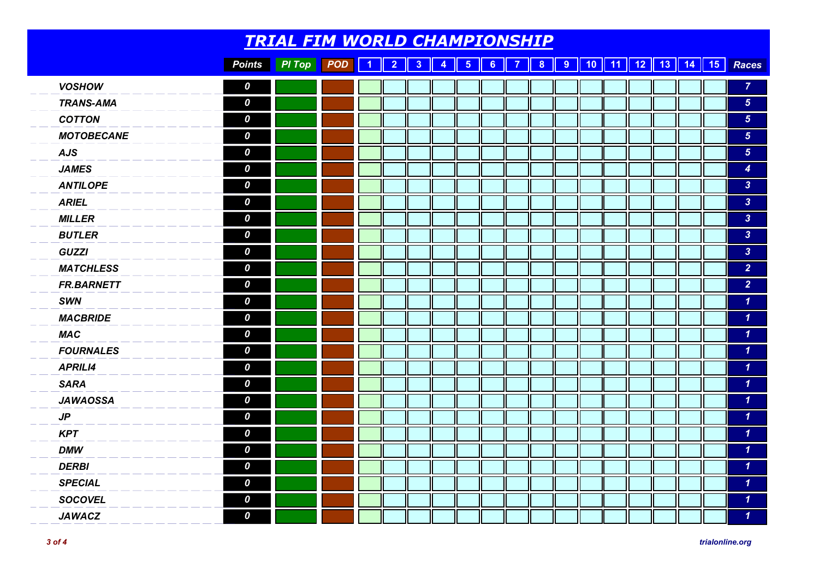|                   |                  | <b>TRIAL FIM WORLD CHAMPIONSHIP</b> |            |  |  |  |  |  |  |  |                                                                         |
|-------------------|------------------|-------------------------------------|------------|--|--|--|--|--|--|--|-------------------------------------------------------------------------|
|                   | <b>Points</b>    | PI Top                              | <b>POD</b> |  |  |  |  |  |  |  | 1   2   3   4   5   6   7   8   9   10   11   12   13   14   15   Races |
| <b>VOSHOW</b>     | 0                |                                     |            |  |  |  |  |  |  |  | $\overline{7}$                                                          |
| <b>TRANS-AMA</b>  | 0                |                                     |            |  |  |  |  |  |  |  | 5 <sup>5</sup>                                                          |
| <b>COTTON</b>     | 0                |                                     |            |  |  |  |  |  |  |  | 5 <sub>5</sub>                                                          |
| <b>MOTOBECANE</b> | 0                |                                     |            |  |  |  |  |  |  |  | 5 <sub>5</sub>                                                          |
| <b>AJS</b>        | 0                |                                     |            |  |  |  |  |  |  |  | 5 <sup>5</sup>                                                          |
| <b>JAMES</b>      | 0                |                                     |            |  |  |  |  |  |  |  | $\boldsymbol{4}$                                                        |
| <b>ANTILOPE</b>   | 0                |                                     |            |  |  |  |  |  |  |  | $\overline{3}$                                                          |
| <b>ARIEL</b>      | 0                |                                     |            |  |  |  |  |  |  |  | 3 <sup>°</sup>                                                          |
| <b>MILLER</b>     | 0                |                                     |            |  |  |  |  |  |  |  | 3 <sup>°</sup>                                                          |
| <b>BUTLER</b>     | 0                |                                     |            |  |  |  |  |  |  |  | 3 <sup>°</sup>                                                          |
| <b>GUZZI</b>      | 0                |                                     |            |  |  |  |  |  |  |  | 3 <sup>°</sup>                                                          |
| <b>MATCHLESS</b>  | 0                |                                     |            |  |  |  |  |  |  |  | 2 <sup>1</sup>                                                          |
| <b>FR.BARNETT</b> | 0                |                                     |            |  |  |  |  |  |  |  | $\overline{2}$                                                          |
| <b>SWN</b>        | 0                |                                     |            |  |  |  |  |  |  |  | $\mathbf{1}$                                                            |
| <b>MACBRIDE</b>   | $\boldsymbol{o}$ |                                     |            |  |  |  |  |  |  |  | $\boldsymbol{\mathcal{L}}$                                              |
| <b>MAC</b>        | 0                |                                     |            |  |  |  |  |  |  |  | $\mathbf{1}$                                                            |
| <b>FOURNALES</b>  | 0                |                                     |            |  |  |  |  |  |  |  | $\mathbf{1}$                                                            |
| <b>APRILI4</b>    | $\boldsymbol{o}$ |                                     |            |  |  |  |  |  |  |  | $\boldsymbol{\mathcal{L}}$                                              |
| <b>SARA</b>       | 0                |                                     |            |  |  |  |  |  |  |  | $\mathbf{1}$                                                            |
| <b>JAWAOSSA</b>   | $\boldsymbol{o}$ |                                     |            |  |  |  |  |  |  |  | $\mathbf{1}$                                                            |
| JP                | $\boldsymbol{o}$ |                                     |            |  |  |  |  |  |  |  | $\mathbf{1}$                                                            |
| <b>KPT</b>        | 0                |                                     |            |  |  |  |  |  |  |  | $\boldsymbol{\mathcal{L}}$                                              |
| <b>DMW</b>        | $\boldsymbol{o}$ |                                     |            |  |  |  |  |  |  |  | $\mathbf{1}$                                                            |
| <b>DERBI</b>      | $\boldsymbol{o}$ |                                     |            |  |  |  |  |  |  |  | $\mathbf{1}$                                                            |
| <b>SPECIAL</b>    | $\boldsymbol{o}$ |                                     |            |  |  |  |  |  |  |  | $\mathbf{1}$                                                            |
| <b>SOCOVEL</b>    | 0                |                                     |            |  |  |  |  |  |  |  | $\mathbf{1}$                                                            |
| <b>JAWACZ</b>     | $\boldsymbol{o}$ |                                     |            |  |  |  |  |  |  |  | $\boldsymbol{\mathcal{L}}$                                              |